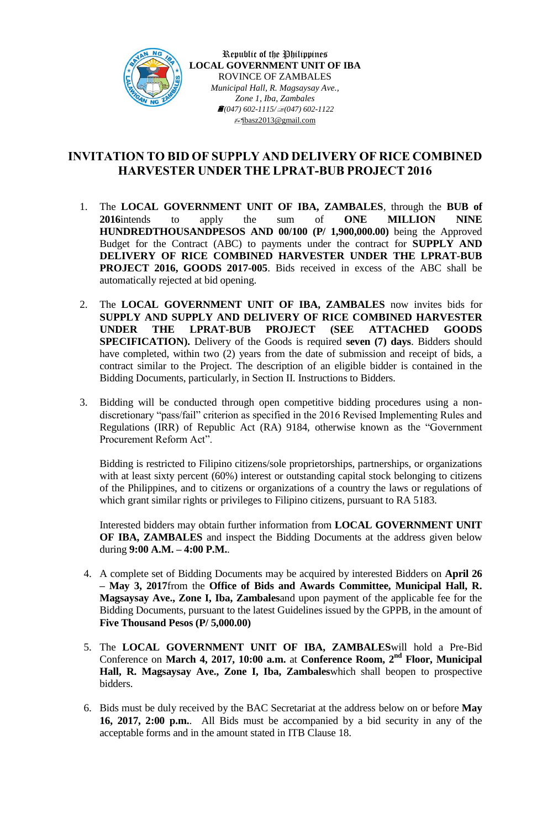

Republic of the Philippines **LOCAL GOVERNMENT UNIT OF IBA** ROVINCE OF ZAMBALES *Municipal Hall, R. Magsaysay Ave., Zone 1, Iba, Zambales (047) 602-1115/(047) 602-1122* ibasz2013@gmail.com

## **INVITATION TO BID OF SUPPLY AND DELIVERY OF RICE COMBINED HARVESTER UNDER THE LPRAT-BUB PROJECT 2016**

- 1. The **LOCAL GOVERNMENT UNIT OF IBA, ZAMBALES**, through the **BUB of 2016**intends to apply the sum of **ONE MILLION NINE HUNDREDTHOUSANDPESOS AND 00/100 (P/ 1,900,000.00)** being the Approved Budget for the Contract (ABC) to payments under the contract for **SUPPLY AND DELIVERY OF RICE COMBINED HARVESTER UNDER THE LPRAT-BUB PROJECT 2016, GOODS 2017-005**. Bids received in excess of the ABC shall be automatically rejected at bid opening.
- 2. The **LOCAL GOVERNMENT UNIT OF IBA, ZAMBALES** now invites bids for **SUPPLY AND SUPPLY AND DELIVERY OF RICE COMBINED HARVESTER UNDER THE LPRAT-BUB PROJECT (SEE ATTACHED GOODS SPECIFICATION).** Delivery of the Goods is required **seven (7) days**. Bidders should have completed, within two (2) years from the date of submission and receipt of bids, a contract similar to the Project. The description of an eligible bidder is contained in the Bidding Documents, particularly, in Section II. Instructions to Bidders.
- 3. Bidding will be conducted through open competitive bidding procedures using a nondiscretionary "pass/fail" criterion as specified in the 2016 Revised Implementing Rules and Regulations (IRR) of Republic Act (RA) 9184, otherwise known as the "Government Procurement Reform Act".

Bidding is restricted to Filipino citizens/sole proprietorships, partnerships, or organizations with at least sixty percent (60%) interest or outstanding capital stock belonging to citizens of the Philippines, and to citizens or organizations of a country the laws or regulations of which grant similar rights or privileges to Filipino citizens, pursuant to RA 5183.

Interested bidders may obtain further information from **LOCAL GOVERNMENT UNIT OF IBA, ZAMBALES** and inspect the Bidding Documents at the address given below during **9:00 A.M. – 4:00 P.M.**.

- 4. A complete set of Bidding Documents may be acquired by interested Bidders on **April 26 – May 3, 2017**from the **Office of Bids and Awards Committee, Municipal Hall, R. Magsaysay Ave., Zone I, Iba, Zambales**and upon payment of the applicable fee for the Bidding Documents, pursuant to the latest Guidelines issued by the GPPB, in the amount of **Five Thousand Pesos (P/ 5,000.00)**
- 5. The **LOCAL GOVERNMENT UNIT OF IBA, ZAMBALES**will hold a Pre-Bid Conference on **March 4, 2017, 10:00 a.m.** at **Conference Room, 2nd Floor, Municipal Hall, R. Magsaysay Ave., Zone I, Iba, Zambales**which shall beopen to prospective bidders.
- 6. Bids must be duly received by the BAC Secretariat at the address below on or before **May 16, 2017, 2:00 p.m.**. All Bids must be accompanied by a bid security in any of the acceptable forms and in the amount stated in ITB Clause 18.